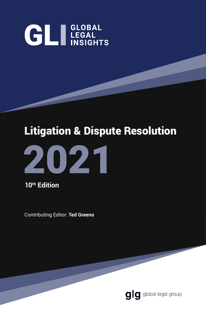# **GLI LEGAL**

## Litigation & Dispute Resolution



**10th Edition**

Contributing Editor: **Ted Greeno**

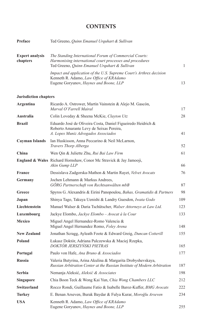#### **CONTENTS**

| Preface                            | Ted Greeno, <i>Ouinn Emanuel Urguhart &amp; Sullivan</i>                                                                                                                       |    |
|------------------------------------|--------------------------------------------------------------------------------------------------------------------------------------------------------------------------------|----|
| <b>Expert analysis</b><br>chapters | The Standing International Forum of Commercial Courts:<br>Harmonising international court processes and procedures<br>Ted Greeno, <i>Ouinn Emanuel Urguhart &amp; Sullivan</i> |    |
|                                    | Impact and application of the U.S. Supreme Court's Arthrex decision<br>Kenneth R. Adamo, Law Office of KRAdamo<br>Eugene Goryunov, Haynes and Boone, LLP                       | 13 |

#### **Jurisdiction chapters**

| <b>Argentina</b>      | Ricardo A. Ostrower, Martín Vainstein & Alejo M. Gascón,<br>Marval O'Farrell Mairal                                                             | 17  |
|-----------------------|-------------------------------------------------------------------------------------------------------------------------------------------------|-----|
| Australia             | Colin Loveday & Sheena McKie, Clayton Utz                                                                                                       | 28  |
| <b>Brazil</b>         | Eduardo José de Oliveira Costa, Daniel Figueiredo Heidrich &<br>Roberto Amarante Levy de Seixas Pereira,<br>A. Lopes Muniz Advogados Associados | 41  |
| <b>Cayman Islands</b> | Ian Huskisson, Anna Peccarino & Neil McLarnon,<br>Travers Thorp Alberga                                                                         | 52  |
| China                 | Wen Qin & Juliette Zhu, Rui Bai Law Firm                                                                                                        | 61  |
|                       | England & Wales Richard Hornshaw, Conor Mc Stravick & Jay Jamooji,<br>Akin Gump LLP                                                             | 66  |
| <b>France</b>         | Dessislava Zadgorska-Mathon & Martin Rayet, Velvet Avocats                                                                                      | 76  |
| Germany               | Jochen Lehmann & Markus Andrees,<br>GÖRG Partnerschaft von Rechtsanwälten mbB                                                                   | 87  |
| Greece                | Spyros G. Alexandris & Eirini Panopoulou, Bahas, Gramatidis & Partners                                                                          | 98  |
| Japan                 | Shinya Tago, Takuya Uenishi & Landry Guesdon, Iwata Godo                                                                                        | 109 |
| Liechtenstein         | Manuel Walser & Daria Tschütscher, Walser Attorneys at Law Ltd.                                                                                 | 123 |
| Luxembourg            | Jackye Elombo, Jackye Elombo - Avocat à la Cour                                                                                                 | 133 |
| <b>Mexico</b>         | Miguel Angel Hernandez-Romo Valencia &<br>Miguel Angel Hernandez Romo, Foley Arena                                                              | 148 |
| <b>New Zealand</b>    | Jonathan Scragg, Ayleath Foote & Edward Greig, Duncan Cotterill                                                                                 | 155 |
| Poland                | Łukasz Doktór, Adriana Palczewska & Maciej Rzepka,<br>DOKTÓR JERSZYŃSKI PIETRAS                                                                 | 165 |
| Portugal              | Paulo von Hafe, Ana Bruno & Associados                                                                                                          | 177 |
| <b>Russia</b>         | Valeria Butyrina, Arina Akulina & Margarita Drobyshevskaya,<br>Russian Arbitration Center at the Russian Institute of Modern Arbitration        | 187 |
| <b>Serbia</b>         | Nemanja Aleksić, Aleksić & Associates                                                                                                           | 198 |
| <b>Singapore</b>      | Chia Boon Teck & Wong Kai Yun, Chia Wong Chambers LLC                                                                                           | 212 |
| Switzerland           | Rocco Rondi, Guillaume Fatio & Isabelle Baroz-Kuffer, BMG Avocats                                                                               | 222 |
| <b>Turkey</b>         | E. Benan Arseven, Burak Baydar & Fulya Kurar, Moroğlu Arseven                                                                                   | 234 |
| <b>USA</b>            | Kenneth R. Adamo, Law Office of KRAdamo<br>Eugene Goryunov, Haynes and Boone, LLP                                                               | 255 |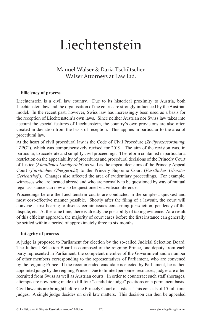## Liechtenstein

#### Manuel Walser & Daria Tschütscher Walser Attorneys at Law Ltd.

#### **Efficiency of process**

Liechtenstein is a civil law country. Due to its historical proximity to Austria, both Liechtenstein law and the organisation of the courts are strongly influenced by the Austrian model. In the recent past, however, Swiss law has increasingly been used as a basis for the reception of Liechtenstein's own laws. Since neither Austrian nor Swiss law takes into account the special features of Liechtenstein, the country's own provisions are also often created in deviation from the basis of reception. This applies in particular to the area of procedural law.

At the heart of civil procedural law is the Code of Civil Procedure (*Zivilprozessordnung*, "ZPO"), which was comprehensively revised for 2019. The aim of the revision was, in particular, to accelerate and simplify civil proceedings. The reform contained in particular a restriction on the appealability of procedures and procedural decisions of the Princely Court of Justice (*Fürstliches Landgericht*) as well as the appeal decisions of the Princely Appeal Court (*Fürstliches Obergericht*) to the Princely Supreme Court (*Fürstlicher Oberster Gerichtshof*). Changes also affected the area of evidentiary proceedings. For example, witnesses who are located abroad and who are normally to be questioned by way of mutual legal assistance can now also be questioned via videoconference.

Proceedings before the Liechtenstein courts are conducted in the simplest, quickest and most cost-effective manner possible. Shortly after the filing of a lawsuit, the court will convene a first hearing to discuss certain issues concerning jurisdiction, pendency of the dispute, etc. At the same time, there is already the possibility of taking evidence. As a result of this efficient approach, the majority of court cases before the first instance can generally be settled within a period of approximately three to six months.

#### **Integrity of process**

A judge is proposed to Parliament for election by the so-called Judicial Selection Board. The Judicial Selection Board is composed of the reigning Prince, one deputy from each party represented in Parliament, the competent member of the Government and a number of other members corresponding to the representatives of Parliament, who are convened by the reigning Prince. If the recommended candidate is elected by Parliament, he is then appointed judge by the reigning Prince. Due to limited personnel resources, judges are often recruited from Swiss as well as Austrian courts. In order to counteract such staff shortages, attempts are now being made to fill four "candidate judge" positions on a permanent basis.

Civil lawsuits are brought before the Princely Court of Justice. This consists of 15 full-time judges. A single judge decides on civil law matters. This decision can then be appealed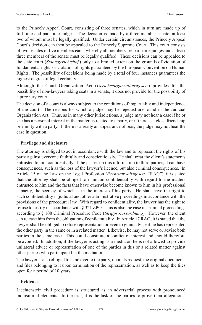to the Princely Appeal Court, consisting of three senates, which in turn are made up of full-time and part-time judges. The decision is made by a three-member senate, at least two of whom must be legally qualified. Under certain circumstances, the Princely Appeal Court's decision can then be appealed to the Princely Supreme Court. This court consists of two senates of five members each, whereby all members are part-time judges and at least three members of the senate must be legally qualified. These decisions can be appealed to the state court (*Staatsgerichtshof* ) only to a limited extent on the grounds of violation of fundamental rights or violation of rights guaranteed by the European Convention on Human Rights. The possibility of decisions being made by a total of four instances guarantees the highest degree of legal certainty.

Although the Court Organization Act (*Gerichtsorgansationsgesetz*) provides for the possibility of non-lawyers taking seats in a senate, it does not provide for the possibility of a pure jury court.

The decision of a court is always subject to the conditions of impartiality and independence of the court. The reasons for which a judge may be rejected are found in the Judicial Organization Act. Thus, as in many other jurisdictions, a judge may not hear a case if he or she has a personal interest in the matter, is related to a party, or if there is a close friendship or enmity with a party. If there is already an appearance of bias, the judge may not hear the case in question.

#### **Privilege and disclosure**

The attorney is obliged to act in accordance with the law and to represent the rights of his party against everyone faithfully and conscientiously. He shall treat the client's statements entrusted to him confidentially. If he passes on this information to third parties, it can have consequences, such as the loss of the lawyer's licence, but also criminal consequences. In Article 15 of the Law on the Legal Profession (*Rechtsanwaltsgesetz*, "RAG"), it is stated that the attorney shall be obliged to maintain confidentiality with regard to the matters entrusted to him and the facts that have otherwise become known to him in his professional capacity, the secrecy of which is in the interest of his party. He shall have the right to such confidentiality in judicial and other administrative proceedings in accordance with the provisions of the procedural law. With regard to confidentiality, the lawyer has the right to refuse to testify in accordance with § 321 ZPO. This is also the case in criminal proceedings according to § 108 Criminal Procedure Code (*Strafprozessordnung*). However, the client can release him from the obligation of confidentiality. In Article 17 RAG, it is stated that the lawyer shall be obliged to refuse representation or even to grant advice if he has represented the other party in the same or in a related matter. Likewise, he may not serve or advise both parties in the same case. This could constitute a conflict of interest and should therefore be avoided. In addition, if the lawyer is acting as a mediator, he is not allowed to provide unilateral advice or representation of one of the parties in this or a related matter against other parties who participated in the mediation.

The lawyer is also obliged to hand over to the party, upon its request, the original documents and files belonging to it upon termination of the representation, as well as to keep the files open for a period of 10 years.

#### **Evidence**

Liechtenstein civil procedure is structured as an adversarial process with pronounced inquisitorial elements. In the trial, it is the task of the parties to prove their allegations,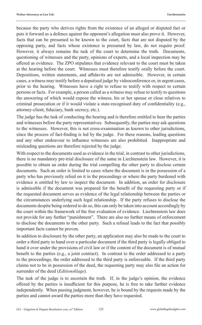because the party who derives rights from the existence of an alleged or disputed fact or puts it forward as a defence against the opponent's allegation must also prove it. However, facts that can be presumed to be known to the court, facts that are not disputed by the opposing party, and facts whose existence is presumed by law, do not require proof. However, it always remains the task of the court to determine the truth. Documents, questioning of witnesses and the party, opinions of experts, and a local inspection may be offered as evidence. The ZPO stipulates that evidence relevant to the court must be taken at the hearing before the court. Witnesses must therefore testify orally before the court. Depositions, written statements, and affidavits are not admissible. However, in certain cases, a witness may testify before a deputised judge by videoconference or, in urgent cases, prior to the hearing. Witnesses have a right to refuse to testify with respect to certain persons or facts. For example, a person called as a witness may refuse to testify to questions the answering of which would expose the witness, his or her spouse or close relatives to criminal prosecution or if it would violate a state-recognised duty of confidentiality (e.g., attorney-client, fiduciary, bank secrecy, etc.).

The judge has the task of conducting the hearing and is therefore entitled to hear the parties and witnesses before the party representatives. Subsequently, the parties may ask questions to the witnesses. However, this is not cross-examination as known to other jurisdictions, since the process of fact-finding is led by the judge. For these reasons, leading questions and any other endeavour to influence witnesses are also prohibited. Inappropriate and misleading questions are therefore rejected by the judge.

With respect to the documents used as evidence in the trial, in contrast to other jurisdictions, there is no mandatory pre-trial disclosure of the same in Liechtenstein law. However, it is possible to obtain an order during the trial compelling the other party to disclose certain documents. Such an order is limited to cases where the document is in the possession of a party who has previously relied on it in the proceedings or where the party burdened with evidence is entitled by law to inspect the document. In addition, an order for disclosure is admissible if the document was prepared for the benefit of the requesting party or if the requested document serves as evidence of the legal relationship between the parties or the circumstances underlying such legal relationship. If the party refuses to disclose the documents despite being ordered to do so, this can only be taken into account accordingly by the court within the framework of the free evaluation of evidence. Liechtenstein law does not provide for any further "punishment". There are also no further means of enforcement to disclose the documents to the other party. Such a refusal leads to the fact that possibly important facts cannot be proven.

In addition to disclosure by the other party, an application may also be made to the court to order a third party to hand over a particular document if the third party is legally obliged to hand it over under the provisions of civil law or if the content of the document is of mutual benefit to the parties (e.g., a joint contract). In contrast to the order addressed to a party to the proceedings, the order addressed to the third party is enforceable. If the third party claims not to be in possession of the deed, the requesting party may also file an action for surrender of the deed (*Editionsklage*).

The task of the judge is to ascertain the truth. If, in the judge's opinion, the evidence offered by the parties is insufficient for this purpose, he is free to take further evidence independently. When passing judgment, however, he is bound by the requests made by the parties and cannot award the parties more than they have requested.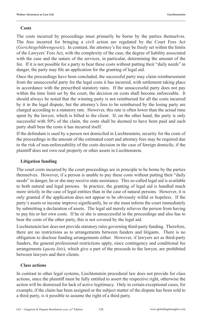#### **Costs**

The costs incurred by proceedings must primarily be borne by the parties themselves. The fees incurred for bringing a civil action are regulated by the Court Fees Act (*Gerichtsgebührengesetz*). In contrast, the attorney's fee may be freely set within the limits of the Lawyers' Fees Act, with the complexity of the case, the degree of liability associated with the case and the nature of the services, in particular, determining the amount of the fee. If it is not possible for a party to bear these costs without putting their "daily needs" in danger, the party may file an application for the granting of legal aid.

Once the proceedings have been concluded, the successful party may claim reimbursement from the unsuccessful party for the legal costs it has incurred, with settlement taking place in accordance with the prescribed statutory rates. If the unsuccessful party does not pay within the time limit set by the court, the decision on costs shall become enforceable. It should always be noted that the winning party is not reimbursed for all the costs incurred by it in the legal dispute, but the attorney's fees to be reimbursed by the losing party are charged according to a statutory rate. However, this rate is often lower than the actual time spent by the lawyer, which is billed to the client. If, on the other hand, the party is only successful with 50% of the claim, the costs shall be deemed to have been paid and each party shall bear the costs it has incurred itself.

If the defendant is sued by a person not domiciled in Liechtenstein, security for the costs of the proceedings in the amount of the estimated court and attorney fees may be required due to the risk of non-enforceability of the costs decision in the case of foreign domicile, if the plaintiff does not own real property or other assets in Liechtenstein.

#### **Litigation funding**

The court costs incurred by the court proceedings are in principle to be borne by the parties themselves. However, if a person is unable to pay these costs without putting their "daily needs" in danger, he or she may receive state assistance. This so-called legal aid is available to both natural and legal persons. In practice, the granting of legal aid is handled much more strictly in the case of legal entities than in the case of natural persons. However, it is only granted if the application does not appear to be obviously wilful or hopeless. If the party's assets or income improve significantly, he or she must inform the court immediately by submitting a declaration of assets. The legal aid merely relieves the person from having to pay his or her own costs. If he or she is unsuccessful in the proceedings and also has to bear the costs of the other party, this is not covered by the legal aid.

Liechtenstein law does not provide statutory rules governing third-party funding. Therefore, there are no restrictions as to arrangements between funders and litigants. There is no obligation to disclose funding arrangements either. However, if lawyers act as third-party funders, the general professional restrictions apply, since contingency and conditional fee arrangements (*quota litis*), which give a part of the proceeds to the lawyer, are prohibited between lawyers and their clients.

#### **Class actions**

In contrast to other legal systems, Liechtenstein procedural law does not provide for class actions, since the plaintiff must be fully entitled to assert the respective right, otherwise the action will be dismissed for lack of active legitimacy. Only in certain exceptional cases, for example, if the claim has been assigned or the subject matter of the dispute has been sold to a third party, is it possible to assume the right of a third party.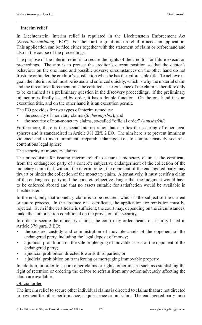#### **Interim relief**

In Liechtenstein, interim relief is regulated in the Liechtenstein Enforcement Act (*Exekutionsordnung*, "EO"). For the court to grant interim relief, it needs an application. This application can be filed either together with the statement of claim or beforehand and also in the course of the proceedings.

The purpose of the interim relief is to secure the rights of the creditor for future execution proceedings. The aim is to protect the creditor's current position so that the debtor's behaviour on the one hand and possible adverse circumstances on the other hand do not frustrate or hinder the creditor's satisfaction when he has the enforceable title. To achieve its goal, the interim relief must be issued and enforced quickly, which is why the material claim and the threat to enforcement must be certified. The existence of the claim is therefore only to be examined as a preliminary question in the discovery proceedings. If the preliminary injunction is finally issued by order, it has a double function. On the one hand it is an execution title, and on the other hand it is an execution permit.

The EO provides for two types of interim remedies:

- the security of monetary claims (*Sicherungsbot*); and
- the security of non-monetary claims, so-called "official order" (*Amtsbefehl*).

Furthermore, there is the special interim relief that clarifies the securing of other legal spheres and is standardised in Article 381 Ziff. 2 EO. The aim here is to prevent imminent violence and to avert imminent irreparable damage; i.e., to comprehensively secure a contentious legal sphere.

#### The security of monetary claims

The prerequisite for issuing interim relief to secure a monetary claim is the certificate from the endangered party of a concrete subjective endangerment of the collection of the monetary claim that, without the interim relief, the opponent of the endangered party may thwart or hinder the collection of the monetary claim. Alternatively, it must certify a claim of the endangered party and the concrete objective danger that the judgment would have to be enforced abroad and that no assets suitable for satisfaction would be available in Liechtenstein.

In the end, only that monetary claim is to be secured, which is the subject of the current or future process. In the absence of a certificate, the application for remission must be rejected. Even if the certificate is sufficient, the court may, depending on the circumstances, make the authorisation conditional on the provision of a security.

In order to secure the monetary claims, the court may order means of security listed in Article 379 para. 3 EO:

- the seizure, custody and administration of movable assets of the opponent of the endangered party, including the legal deposit of money;
- a judicial prohibition on the sale or pledging of movable assets of the opponent of the endangered party;
- a judicial prohibition directed towards third parties; or
- a judicial prohibition on transferring or mortgaging immovable property.

In addition, in order to secure other claims or rights, other means such as establishing the right of retention or ordering the debtor to refrain from any action adversely affecting the claim are available.

#### Official order

The interim relief to secure other individual claims is directed to claims that are not directed to payment for other performance, acquiescence or omission. The endangered party must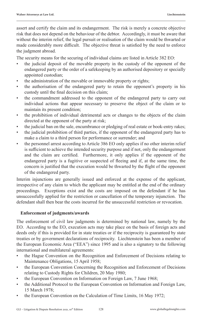assert and certify the claim and its endangerment. The risk is merely a concrete objective risk that does not depend on the behaviour of the debtor. Accordingly, it must be aware that without the interim relief, the legal pursuit or realisation of the claim would be thwarted or made considerably more difficult. The objective threat is satisfied by the need to enforce the judgment abroad.

The security means for the securing of individual claims are listed in Article 382 EO:

- the judicial deposit of the movable property in the custody of the opponent of the endangered party or the order of a safekeeping by an authorised depository or specially appointed custodian;
- the administration of the movable or immovable property or rights;
- the authorisation of the endangered party to retain the opponent's property in his custody until the final decision on this claim;
- the commandment addressed to the opponent of the endangered party to carry out individual actions that appear necessary to preserve the object of the claim or to maintain its present condition;
- the prohibition of individual detrimental acts or changes to the objects of the claim directed at the opponent of the party at risk;
- the judicial ban on the sale, encumbrance or pledging of real estate or book-entry rakes;
- the judicial prohibition of third parties, if the opponent of the endangered party has to make a claim to a third person for performance or surrender; and
- the personnel arrest according to Article 386 EO only applies if no other interim relief is sufficient to achieve the intended security purpose and if not, only the endangerment and the claim are certified. Furthermore, it only applies if the opponent of the endangered party is a fugitive or suspected of fleeing and if, at the same time, the concern is justified that the execution would be thwarted by the flight of the opponent of the endangered party.

Interim injunctions are generally issued and enforced at the expense of the applicant, irrespective of any claim to which the applicant may be entitled at the end of the ordinary proceedings. Exceptions exist and the costs are imposed on the defendant if he has unsuccessfully applied for the restriction or cancellation of the temporary injunction. The defendant shall then bear the costs incurred for the unsuccessful restriction or revocation.

#### **Enforcement of judgments/awards**

The enforcement of civil law judgments is determined by national law, namely by the EO. According to the EO, execution acts may take place on the basis of foreign acts and deeds only if this is provided for in state treaties or if the reciprocity is guaranteed by state treaties or by government declarations of reciprocity. Liechtenstein has been a member of the European Economic Area ("EEA") since 1995 and is also a signatory to the following international and multilateral agreements:

- the Hague Convention on the Recognition and Enforcement of Decisions relating to Maintenance Obligations, 15 April 1958;
- the European Convention Concerning the Recognition and Enforcement of Decisions relating to Custody Rights for Children, 20 May 1980;
- the European Convention on Information on Foreign Law, 7 June 1968;
- the Additional Protocol to the European Convention on Information and Foreign Law, 15 March 1978;
- the European Convention on the Calculation of Time Limits, 16 May 1972;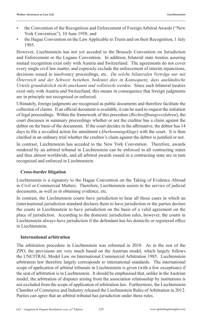- the Convention of the Recognition and Enforcement of Foreign Arbitral Awards ("New York Convention"), 10 June 1958; and
- the Hague Convention on the Law Applicable to Trusts and on their Recognition, 1 July 1985.

However, Liechtenstein has not yet acceded to the Brussels Convention on Jurisdiction and Enforcement or the Lugano Convention. In addition, bilateral state treaties assuring mutual recognition exist only with Austria and Switzerland. The agreements do not cover every single civil law matter, and expressly exclude the enforcement of interim injunctions, decisions issued in insolvency proceedings, etc. *Da solche bilateralen Verträge nur mit Österreich und der Schweiz bestehen, bedeutet dies in Konsequenz, dass ausländische Urteile grundsätzlich nicht anerkannt und vollstreckt werden*. Since such bilateral treaties exist only with Austria and Switzerland, this means in consequence that foreign judgments are in principle not recognised or enforced.

Ultimately, foreign judgments are recognised as public documents and therefore facilitate the collection of claims. If an official document is available, it can be used to request the initiation of legal proceedings. Within the framework of this procedure (*Rechtsöffnungsverfahren*), the court discusses in summary proceedings whether or not the creditor has a claim against the debtor on the basis of the documents. If the court decides in the affirmative, the debtor has 14 days to file a so-called action for annulment (*Aberkennungsklage*) with the court. It is then clarified in an ordinary trial whether the creditor's claim against the debtor is justified or not.

In contrast, Liechtenstein has acceded to the New York Convention. Therefore, awards rendered by an arbitral tribunal in Liechtenstein can be enforced in all contracting states and thus almost worldwide, and all arbitral awards issued in a contracting state are in turn recognised and enforced in Liechtenstein.

#### **Cross-border litigation**

Liechtenstein is a signatory to the Hague Convention on the Taking of Evidence Abroad in Civil or Commercial Matters. Therefore, Liechtenstein assists in the service of judicial documents, as well as in obtaining evidence, etc.

In contrast, the Liechtenstein courts have jurisdiction to hear all those cases in which an (inter)national jurisdiction standard declares them to have jurisdiction or the parties declare the courts in Liechtenstein to have jurisdiction on the basis of a valid agreement on the place of jurisdiction. According to the domestic jurisdiction rules, however, the courts in Liechtenstein always have jurisdiction if the defendant has his domicile or registered office in Liechtenstein.

#### **International arbitration**

The arbitration procedure in Liechtenstein was reformed in 2010. As in the rest of the ZPO, the provisions are very much based on the Austrian model, which largely follows the UNCITRAL Model Law on International Commercial Arbitration 1985. Liechtenstein arbitration law therefore largely corresponds to international standards. The international scope of application of arbitral tribunals in Liechtenstein is given (with a few exceptions) if the seat of arbitration is in Liechtenstein. It should be emphasised that, unlike in the Austrian model, the arbitration of disputes arising from the association relationship by institutions is not excluded from the scope of application of arbitration law. Furthermore, the Liechtenstein Chamber of Commerce and Industry released the Liechtenstein Rules of Arbitration in 2012. Parties can agree that an arbitral tribunal has jurisdiction under these rules.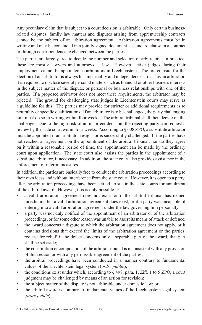Any pecuniary claim that is subject to a court decision is arbitrable. Only certain businessrelated disputes, family law matters and disputes arising from apprenticeship contracts cannot be the subject of an arbitration agreement. Arbitration agreements must be in writing and may be concluded in a jointly signed document, a standard clause in a contract or through correspondence exchanged between the parties.

The parties are largely free to decide the number and selection of arbitrators. In practice, these are mostly lawyers and attorneys at law. However, active judges during their employment cannot be appointed as arbitrators in Liechtenstein. The prerequisite for the election of an arbitrator is always his impartiality and independence. To act as an arbitrator, it is required to disclose several personal matters such as financial or other business interests in the subject matter of the dispute, or personal or business relationships with one of the parties. If a proposed arbitrator does not meet these requirements, the arbitrator may be rejected. The ground for challenging state judges in Liechtenstein courts may serve as a guideline for this. The parties may provide for stricter or additional requirements as to neutrality or specific qualifications. If an arbitrator is to be challenged, the party challenging him must do so in writing within four weeks. The arbitral tribunal shall then decide on the challenge. Due to the high risk of an incorrect decision, the rejecting party can request a review by the state court within four weeks. According to § 608 ZPO, a substitute arbitrator must be appointed if an arbitrator resigns or is successfully challenged. If the parties have not reached an agreement on the appointment of the arbitral tribunal, nor do they agree on it within a reasonable period of time, the appointment can be made by the ordinary court upon application. The state court also assists the parties in the appointment of a substitute arbitrator, if necessary. In addition, the state court also provides assistance in the enforcement of interim measures.

In addition, the parties are basically free to conduct the arbitration proceedings according to their own ideas and without interference from the state court. However, it is open to a party, after the arbitration proceedings have been settled, to sue in the state courts for annulment of the arbitral award. However, this is only possible if:

- a valid arbitration agreement does not exist, or if the arbitral tribunal has denied jurisdiction but a valid arbitration agreement does exist, or if a party was incapable of entering into a valid arbitration agreement under the law governing him personally;
- a party was not duly notified of the appointment of an arbitrator or of the arbitration proceedings, or for some other reason was unable to assert its means of attack or defence;
- the award concerns a dispute to which the arbitration agreement does not apply, or it contains decisions that exceed the limits of the arbitration agreement or the parties' request for relief; if the defect concerns only a separable part of the award, that part shall be set aside;
- the constitution or composition of the arbitral tribunal is inconsistent with any provision of this section or with any permissible agreement of the parties;
- the arbitral proceedings have been conducted in a manner contrary to fundamental values of the Liechtenstein legal system (*ordre public*);
- the conditions exist under which, according to  $\S$  498, para. 1, Ziff. 1 to 5 ZPO, a court judgment may be challenged by means of an action for revision;
- the subject matter of the dispute is not arbitrable under domestic law; or
- the arbitral award is contrary to fundamental values of the Liechtenstein legal system (*ordre public*).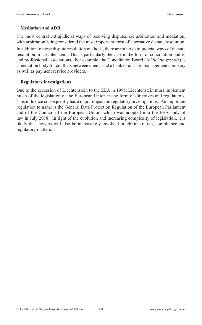#### **Mediation and ADR**

The most central extrajudicial ways of resolving disputes are arbitration and mediation, with arbitration being considered the most important form of alternative dispute resolution.

In addition to these dispute resolution methods, there are other extrajudicial ways of dispute resolution in Liechtenstein. This is particularly the case in the form of conciliation bodies and professional associations. For example, the Conciliation Board (*Schlichtungsstelle*) is a mediation body for conflicts between clients and a bank or an asset management company as well as payment service providers.

#### **Regulatory investigations**

Due to the accession of Liechtenstein to the EEA in 1995, Liechtenstein must implement much of the legislation of the European Union in the form of directives and regulations. This influence consequently has a major impact on regulatory investigations. An important regulation to name is the General Data Protection Regulation of the European Parliament and of the Council of the European Union, which was adopted into the EEA body of law in July 2018. In light of the evolution and increasing complexity of legislation, it is likely that lawyers will also be increasingly involved in administrative, compliance and regulatory matters.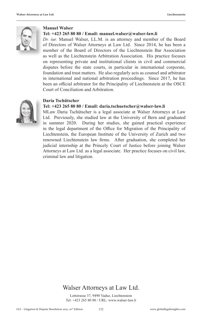

#### **Manuel Walser**

#### **Tel: +423 265 80 80 / Email: manuel.walser@walser-law.li**

*Dr. iur.* Manuel Walser, LL.M. is an attorney and member of the Board of Directors of Walser Attorneys at Law Ltd. Since 2014, he has been a member of the Board of Directors of the Liechtenstein Bar Association as well as the Liechtenstein Arbitration Association. His practice focuses on representing private and institutional clients in civil and commercial disputes before the state courts, in particular in international corporate, foundation and trust matters. He also regularly acts as counsel and arbitrator in international and national arbitration proceedings. Since 2017, he has been an official arbitrator for the Principality of Liechtenstein at the OSCE Court of Conciliation and Arbitration.



#### **Daria Tschütscher**

#### **Tel: +423 265 80 80 / Email: daria.tschuetscher@walser-law.li**

MLaw Daria Tschütscher is a legal associate at Walser Attorneys at Law Ltd. Previously, she studied law at the University of Bern and graduated in summer 2020. During her studies, she gained practical experience in the legal department of the Office for Migration of the Principality of Liechtenstein, the European Institute of the University of Zurich and two renowned Liechtenstein law firms. After graduation, she completed her judicial internship at the Princely Court of Justice before joining Walser Attorneys at Law Ltd. as a legal associate. Her practice focuses on civil law, criminal law and litigation.

#### Walser Attorneys at Law Ltd.

Lettstrasse 37, 9490 Vaduz, Liechtenstein Tel: +423 265 80 80 / URL: www.walser-law.li